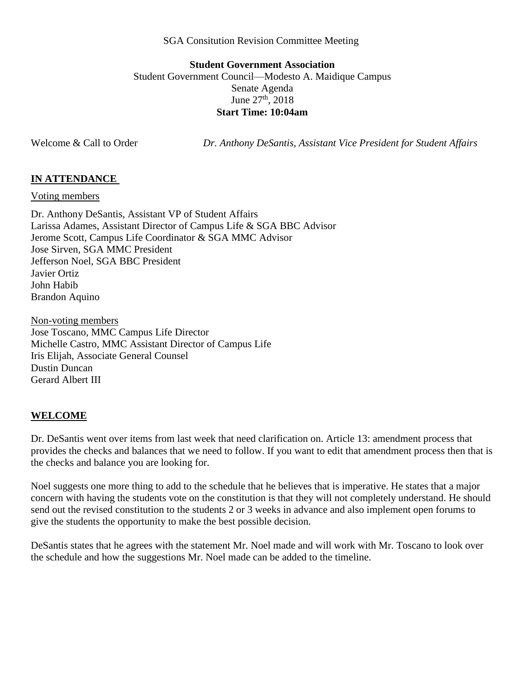#### SGA Consitution Revision Committee Meeting

# **Student Government Association** Student Government Council—Modesto A. Maidique Campus Senate Agenda June  $27^{th}$ , 2018 **Start Time: 10:04am**

Welcome & Call to Order *Dr. Anthony DeSantis, Assistant Vice President for Student Affairs*

### **IN ATTENDANCE**

Voting members

Dr. Anthony DeSantis, Assistant VP of Student Affairs Larissa Adames, Assistant Director of Campus Life & SGA BBC Advisor Jerome Scott, Campus Life Coordinator & SGA MMC Advisor Jose Sirven, SGA MMC President Jefferson Noel, SGA BBC President Javier Ortiz John Habib Brandon Aquino

Non-voting members Jose Toscano, MMC Campus Life Director Michelle Castro, MMC Assistant Director of Campus Life Iris Elijah, Associate General Counsel Dustin Duncan Gerard Albert III

### **WELCOME**

Dr. DeSantis went over items from last week that need clarification on. Article 13: amendment process that provides the checks and balances that we need to follow. If you want to edit that amendment process then that is the checks and balance you are looking for.

Noel suggests one more thing to add to the schedule that he believes that is imperative. He states that a major concern with having the students vote on the constitution is that they will not completely understand. He should send out the revised constitution to the students 2 or 3 weeks in advance and also implement open forums to give the students the opportunity to make the best possible decision.

DeSantis states that he agrees with the statement Mr. Noel made and will work with Mr. Toscano to look over the schedule and how the suggestions Mr. Noel made can be added to the timeline.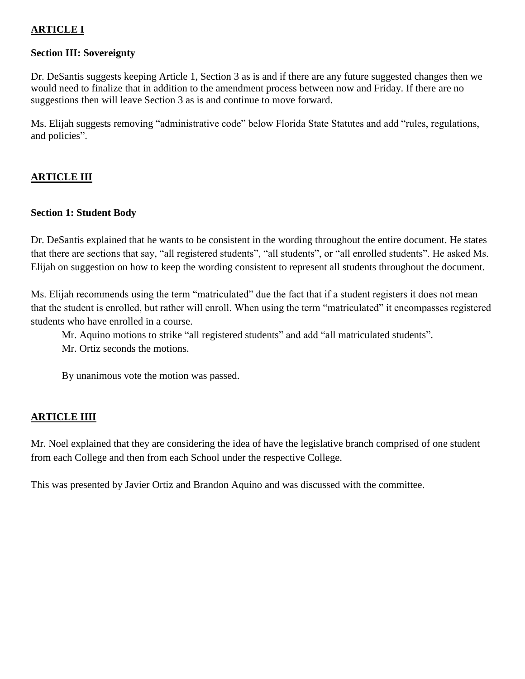# **ARTICLE I**

## **Section III: Sovereignty**

Dr. DeSantis suggests keeping Article 1, Section 3 as is and if there are any future suggested changes then we would need to finalize that in addition to the amendment process between now and Friday. If there are no suggestions then will leave Section 3 as is and continue to move forward.

Ms. Elijah suggests removing "administrative code" below Florida State Statutes and add "rules, regulations, and policies".

# **ARTICLE III**

## **Section 1: Student Body**

Dr. DeSantis explained that he wants to be consistent in the wording throughout the entire document. He states that there are sections that say, "all registered students", "all students", or "all enrolled students". He asked Ms. Elijah on suggestion on how to keep the wording consistent to represent all students throughout the document.

Ms. Elijah recommends using the term "matriculated" due the fact that if a student registers it does not mean that the student is enrolled, but rather will enroll. When using the term "matriculated" it encompasses registered students who have enrolled in a course.

Mr. Aquino motions to strike "all registered students" and add "all matriculated students". Mr. Ortiz seconds the motions.

By unanimous vote the motion was passed.

### **ARTICLE IIII**

Mr. Noel explained that they are considering the idea of have the legislative branch comprised of one student from each College and then from each School under the respective College.

This was presented by Javier Ortiz and Brandon Aquino and was discussed with the committee.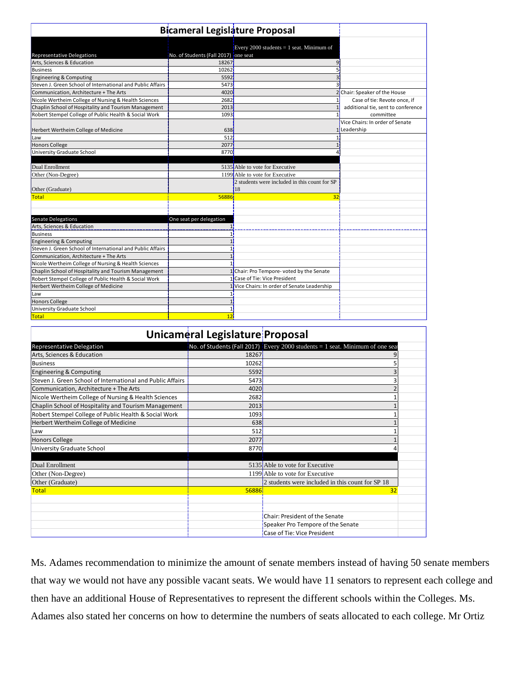|                                                                 | <b>Bicameral Legislature Proposal</b> |                                               |                                    |
|-----------------------------------------------------------------|---------------------------------------|-----------------------------------------------|------------------------------------|
|                                                                 |                                       |                                               |                                    |
|                                                                 |                                       |                                               |                                    |
|                                                                 | No. of Students (Fall 2017) one seat  | Every 2000 students = 1 seat. Minimum of      |                                    |
| <b>Representative Delegations</b><br>Arts, Sciences & Education | 18267                                 |                                               |                                    |
| <b>Business</b>                                                 | 10262                                 |                                               |                                    |
| Engineering & Computing                                         | 5592                                  |                                               |                                    |
| Steven J. Green School of International and Public Affairs      | 5473                                  |                                               |                                    |
| Communication. Architecture + The Arts                          | 4020                                  |                                               | 2 Chair: Speaker of the House      |
| Nicole Wertheim College of Nursing & Health Sciences            | 2682                                  |                                               | Case of tie: Revote once, if       |
| Chaplin School of Hospitality and Tourism Management            | 2013                                  |                                               | additional tie, sent to conference |
| Robert Stempel College of Public Health & Social Work           | 1093                                  |                                               | committee                          |
|                                                                 |                                       |                                               | Vice Chairs: In order of Senate    |
| Herbert Wertheim College of Medicine                            | 638                                   |                                               | 1 Leadership                       |
| Law                                                             | 512                                   |                                               |                                    |
| Honors College                                                  | 2077                                  |                                               |                                    |
| University Graduate School                                      | 8770                                  |                                               |                                    |
|                                                                 |                                       |                                               |                                    |
| Dual Enrollment                                                 |                                       | 5135 Able to vote for Executive               |                                    |
| Other (Non-Degree)                                              |                                       | 1199 Able to vote for Executive               |                                    |
|                                                                 |                                       | 2 students were included in this count for SP |                                    |
| Other (Graduate)                                                |                                       | 18                                            |                                    |
| <b>Total</b>                                                    | 56886                                 | 32                                            |                                    |
|                                                                 |                                       |                                               |                                    |
|                                                                 |                                       |                                               |                                    |
| Senate Delegations                                              | One seat per delegation               |                                               |                                    |
| Arts, Sciences & Education                                      |                                       |                                               |                                    |
| <b>Business</b>                                                 |                                       |                                               |                                    |
| Engineering & Computing                                         |                                       |                                               |                                    |
| Steven J. Green School of International and Public Affairs      |                                       |                                               |                                    |
| Communication, Architecture + The Arts                          |                                       |                                               |                                    |
| Nicole Wertheim College of Nursing & Health Sciences            |                                       |                                               |                                    |
| Chaplin School of Hospitality and Tourism Management            |                                       | 1 Chair: Pro Tempore- voted by the Senate     |                                    |
| Robert Stempel College of Public Health & Social Work           |                                       | 1 Case of Tie: Vice President                 |                                    |
| Herbert Wertheim College of Medicine                            |                                       | 1 Vice Chairs: In order of Senate Leadership  |                                    |
| Law                                                             |                                       |                                               |                                    |
| <b>Honors College</b>                                           |                                       |                                               |                                    |
| University Graduate School                                      |                                       |                                               |                                    |
| Total                                                           | 12                                    |                                               |                                    |

|                                                            | Unicameral Legislature Proposal |                                                                               |  |
|------------------------------------------------------------|---------------------------------|-------------------------------------------------------------------------------|--|
| Representative Delegation                                  |                                 | No. of Students (Fall 2017) Every 2000 students = 1 seat. Minimum of one seat |  |
| Arts, Sciences & Education                                 | 18267                           |                                                                               |  |
| <b>Business</b>                                            | 10262                           |                                                                               |  |
| Engineering & Computing                                    | 5592                            |                                                                               |  |
| Steven J. Green School of International and Public Affairs | 5473                            |                                                                               |  |
| Communication, Architecture + The Arts                     | 4020                            |                                                                               |  |
| Nicole Wertheim College of Nursing & Health Sciences       | 2682                            |                                                                               |  |
| Chaplin School of Hospitality and Tourism Management       | 2013                            |                                                                               |  |
| Robert Stempel College of Public Health & Social Work      | 1093                            |                                                                               |  |
| Herbert Wertheim College of Medicine                       | 638 <sup></sup>                 |                                                                               |  |
| Law                                                        | 512                             |                                                                               |  |
| <b>Honors College</b>                                      | 2077                            |                                                                               |  |
| University Graduate School                                 | 8770                            |                                                                               |  |
|                                                            |                                 |                                                                               |  |
| Dual Enrollment                                            |                                 | 5135 Able to vote for Executive                                               |  |
| Other (Non-Degree)                                         |                                 | 1199 Able to vote for Executive                                               |  |
| Other (Graduate)                                           |                                 | 2 students were included in this count for SP 18                              |  |
| <b>Total</b>                                               | 56886                           | 32                                                                            |  |
|                                                            |                                 |                                                                               |  |
|                                                            |                                 |                                                                               |  |
|                                                            |                                 | Chair: President of the Senate                                                |  |
|                                                            |                                 | Speaker Pro Tempore of the Senate                                             |  |
|                                                            |                                 | Case of Tie: Vice President                                                   |  |

Ms. Adames recommendation to minimize the amount of senate members instead of having 50 senate members that way we would not have any possible vacant seats. We would have 11 senators to represent each college and then have an additional House of Representatives to represent the different schools within the Colleges. Ms. Adames also stated her concerns on how to determine the numbers of seats allocated to each college. Mr Ortiz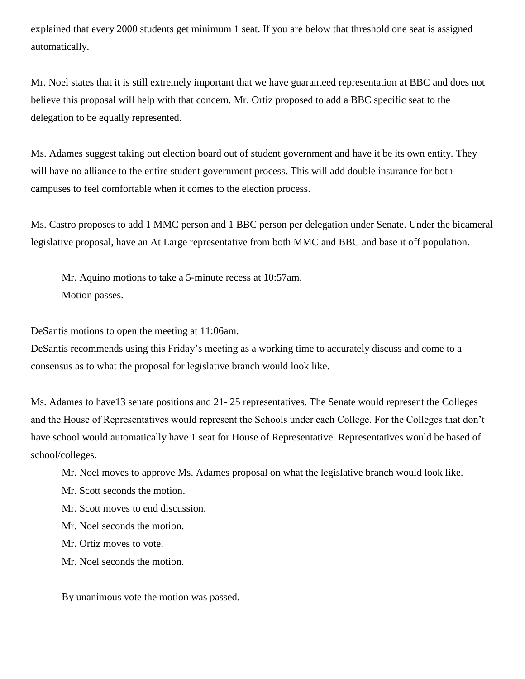explained that every 2000 students get minimum 1 seat. If you are below that threshold one seat is assigned automatically.

Mr. Noel states that it is still extremely important that we have guaranteed representation at BBC and does not believe this proposal will help with that concern. Mr. Ortiz proposed to add a BBC specific seat to the delegation to be equally represented.

Ms. Adames suggest taking out election board out of student government and have it be its own entity. They will have no alliance to the entire student government process. This will add double insurance for both campuses to feel comfortable when it comes to the election process.

Ms. Castro proposes to add 1 MMC person and 1 BBC person per delegation under Senate. Under the bicameral legislative proposal, have an At Large representative from both MMC and BBC and base it off population.

Mr. Aquino motions to take a 5-minute recess at 10:57am. Motion passes.

DeSantis motions to open the meeting at 11:06am.

DeSantis recommends using this Friday's meeting as a working time to accurately discuss and come to a consensus as to what the proposal for legislative branch would look like.

Ms. Adames to have13 senate positions and 21- 25 representatives. The Senate would represent the Colleges and the House of Representatives would represent the Schools under each College. For the Colleges that don't have school would automatically have 1 seat for House of Representative. Representatives would be based of school/colleges.

Mr. Noel moves to approve Ms. Adames proposal on what the legislative branch would look like.

Mr. Scott seconds the motion.

Mr. Scott moves to end discussion.

Mr. Noel seconds the motion.

Mr. Ortiz moves to vote.

Mr. Noel seconds the motion.

By unanimous vote the motion was passed.